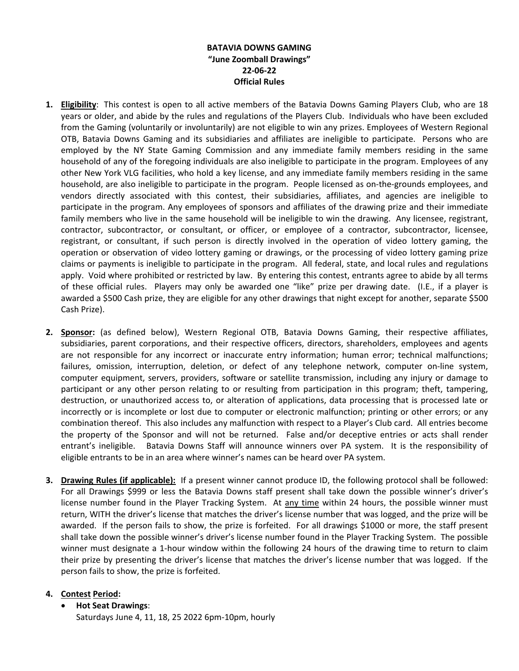## **BATAVIA DOWNS GAMING "June Zoomball Drawings" 22-06-22 Official Rules**

- **1. Eligibility**: This contest is open to all active members of the Batavia Downs Gaming Players Club, who are 18 years or older, and abide by the rules and regulations of the Players Club. Individuals who have been excluded from the Gaming (voluntarily or involuntarily) are not eligible to win any prizes. Employees of Western Regional OTB, Batavia Downs Gaming and its subsidiaries and affiliates are ineligible to participate. Persons who are employed by the NY State Gaming Commission and any immediate family members residing in the same household of any of the foregoing individuals are also ineligible to participate in the program. Employees of any other New York VLG facilities, who hold a key license, and any immediate family members residing in the same household, are also ineligible to participate in the program. People licensed as on-the-grounds employees, and vendors directly associated with this contest, their subsidiaries, affiliates, and agencies are ineligible to participate in the program. Any employees of sponsors and affiliates of the drawing prize and their immediate family members who live in the same household will be ineligible to win the drawing. Any licensee, registrant, contractor, subcontractor, or consultant, or officer, or employee of a contractor, subcontractor, licensee, registrant, or consultant, if such person is directly involved in the operation of video lottery gaming, the operation or observation of video lottery gaming or drawings, or the processing of video lottery gaming prize claims or payments is ineligible to participate in the program. All federal, state, and local rules and regulations apply. Void where prohibited or restricted by law. By entering this contest, entrants agree to abide by all terms of these official rules. Players may only be awarded one "like" prize per drawing date. (I.E., if a player is awarded a \$500 Cash prize, they are eligible for any other drawings that night except for another, separate \$500 Cash Prize).
- **2. Sponsor:** (as defined below), Western Regional OTB, Batavia Downs Gaming, their respective affiliates, subsidiaries, parent corporations, and their respective officers, directors, shareholders, employees and agents are not responsible for any incorrect or inaccurate entry information; human error; technical malfunctions; failures, omission, interruption, deletion, or defect of any telephone network, computer on-line system, computer equipment, servers, providers, software or satellite transmission, including any injury or damage to participant or any other person relating to or resulting from participation in this program; theft, tampering, destruction, or unauthorized access to, or alteration of applications, data processing that is processed late or incorrectly or is incomplete or lost due to computer or electronic malfunction; printing or other errors; or any combination thereof. This also includes any malfunction with respect to a Player's Club card. All entries become the property of the Sponsor and will not be returned. False and/or deceptive entries or acts shall render entrant's ineligible. Batavia Downs Staff will announce winners over PA system. It is the responsibility of eligible entrants to be in an area where winner's names can be heard over PA system.
- **3. Drawing Rules (if applicable):** If a present winner cannot produce ID, the following protocol shall be followed: For all Drawings \$999 or less the Batavia Downs staff present shall take down the possible winner's driver's license number found in the Player Tracking System. At any time within 24 hours, the possible winner must return, WITH the driver's license that matches the driver's license number that was logged, and the prize will be awarded. If the person fails to show, the prize is forfeited. For all drawings \$1000 or more, the staff present shall take down the possible winner's driver's license number found in the Player Tracking System. The possible winner must designate a 1-hour window within the following 24 hours of the drawing time to return to claim their prize by presenting the driver's license that matches the driver's license number that was logged. If the person fails to show, the prize is forfeited.

## **4. Contest Period:**

• **Hot Seat Drawings**:

Saturdays June 4, 11, 18, 25 2022 6pm-10pm, hourly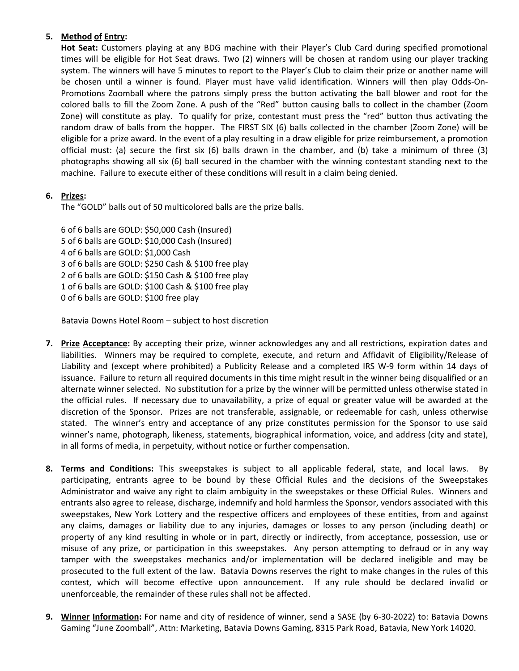## **5. Method of Entry:**

**Hot Seat:** Customers playing at any BDG machine with their Player's Club Card during specified promotional times will be eligible for Hot Seat draws. Two (2) winners will be chosen at random using our player tracking system. The winners will have 5 minutes to report to the Player's Club to claim their prize or another name will be chosen until a winner is found. Player must have valid identification. Winners will then play Odds-On-Promotions Zoomball where the patrons simply press the button activating the ball blower and root for the colored balls to fill the Zoom Zone. A push of the "Red" button causing balls to collect in the chamber (Zoom Zone) will constitute as play. To qualify for prize, contestant must press the "red" button thus activating the random draw of balls from the hopper. The FIRST SIX (6) balls collected in the chamber (Zoom Zone) will be eligible for a prize award. In the event of a play resulting in a draw eligible for prize reimbursement, a promotion official must: (a) secure the first six (6) balls drawn in the chamber, and (b) take a minimum of three (3) photographs showing all six (6) ball secured in the chamber with the winning contestant standing next to the machine. Failure to execute either of these conditions will result in a claim being denied.

## **6. Prizes:**

The "GOLD" balls out of 50 multicolored balls are the prize balls.

6 of 6 balls are GOLD: \$50,000 Cash (Insured) 5 of 6 balls are GOLD: \$10,000 Cash (Insured) 4 of 6 balls are GOLD: \$1,000 Cash 3 of 6 balls are GOLD: \$250 Cash & \$100 free play 2 of 6 balls are GOLD: \$150 Cash & \$100 free play 1 of 6 balls are GOLD: \$100 Cash & \$100 free play 0 of 6 balls are GOLD: \$100 free play

Batavia Downs Hotel Room – subject to host discretion

- **7. Prize Acceptance:** By accepting their prize, winner acknowledges any and all restrictions, expiration dates and liabilities. Winners may be required to complete, execute, and return and Affidavit of Eligibility/Release of Liability and (except where prohibited) a Publicity Release and a completed IRS W-9 form within 14 days of issuance. Failure to return all required documents in this time might result in the winner being disqualified or an alternate winner selected. No substitution for a prize by the winner will be permitted unless otherwise stated in the official rules. If necessary due to unavailability, a prize of equal or greater value will be awarded at the discretion of the Sponsor. Prizes are not transferable, assignable, or redeemable for cash, unless otherwise stated. The winner's entry and acceptance of any prize constitutes permission for the Sponsor to use said winner's name, photograph, likeness, statements, biographical information, voice, and address (city and state), in all forms of media, in perpetuity, without notice or further compensation.
- **8. Terms and Conditions:** This sweepstakes is subject to all applicable federal, state, and local laws. By participating, entrants agree to be bound by these Official Rules and the decisions of the Sweepstakes Administrator and waive any right to claim ambiguity in the sweepstakes or these Official Rules. Winners and entrants also agree to release, discharge, indemnify and hold harmless the Sponsor, vendors associated with this sweepstakes, New York Lottery and the respective officers and employees of these entities, from and against any claims, damages or liability due to any injuries, damages or losses to any person (including death) or property of any kind resulting in whole or in part, directly or indirectly, from acceptance, possession, use or misuse of any prize, or participation in this sweepstakes. Any person attempting to defraud or in any way tamper with the sweepstakes mechanics and/or implementation will be declared ineligible and may be prosecuted to the full extent of the law. Batavia Downs reserves the right to make changes in the rules of this contest, which will become effective upon announcement. If any rule should be declared invalid or unenforceable, the remainder of these rules shall not be affected.
- **9. Winner Information:** For name and city of residence of winner, send a SASE (by 6-30-2022) to: Batavia Downs Gaming "June Zoomball", Attn: Marketing, Batavia Downs Gaming, 8315 Park Road, Batavia, New York 14020.